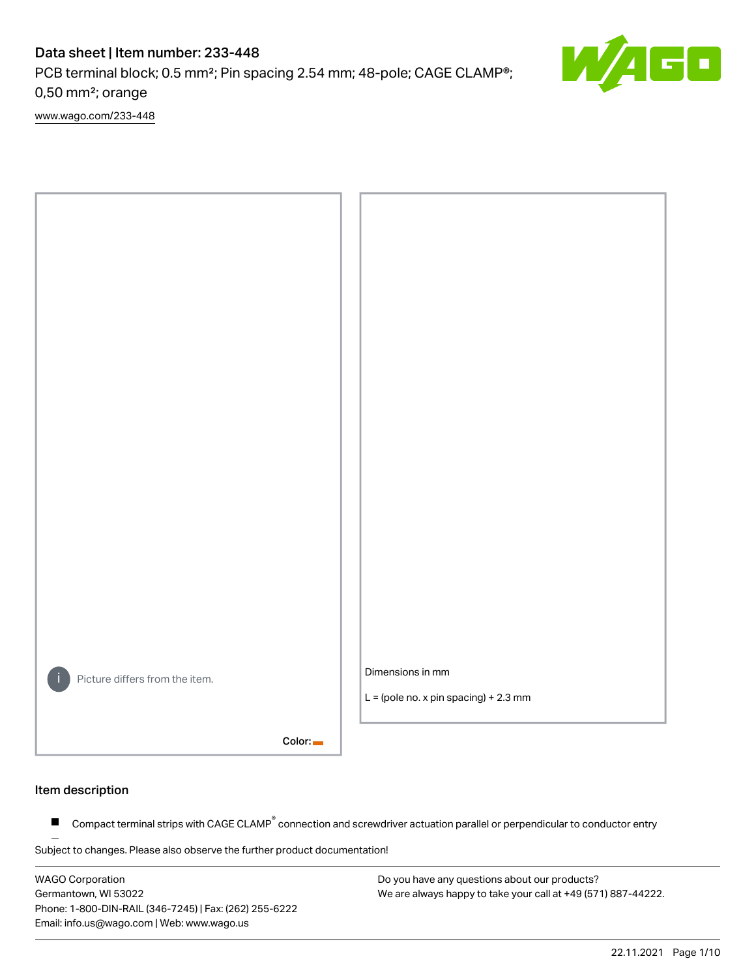PCB terminal block; 0.5 mm²; Pin spacing 2.54 mm; 48-pole; CAGE CLAMP®; 0,50 mm²; orange

[www.wago.com/233-448](http://www.wago.com/233-448)



#### Item description

Compact terminal strips with CAGE CLAMP<sup>®</sup> connection and screwdriver actuation parallel or perpendicular to conductor entry  $\blacksquare$ 

Subject to changes. Please also observe the further product documentation!

WAGO Corporation Germantown, WI 53022 Phone: 1-800-DIN-RAIL (346-7245) | Fax: (262) 255-6222 Email: info.us@wago.com | Web: www.wago.us

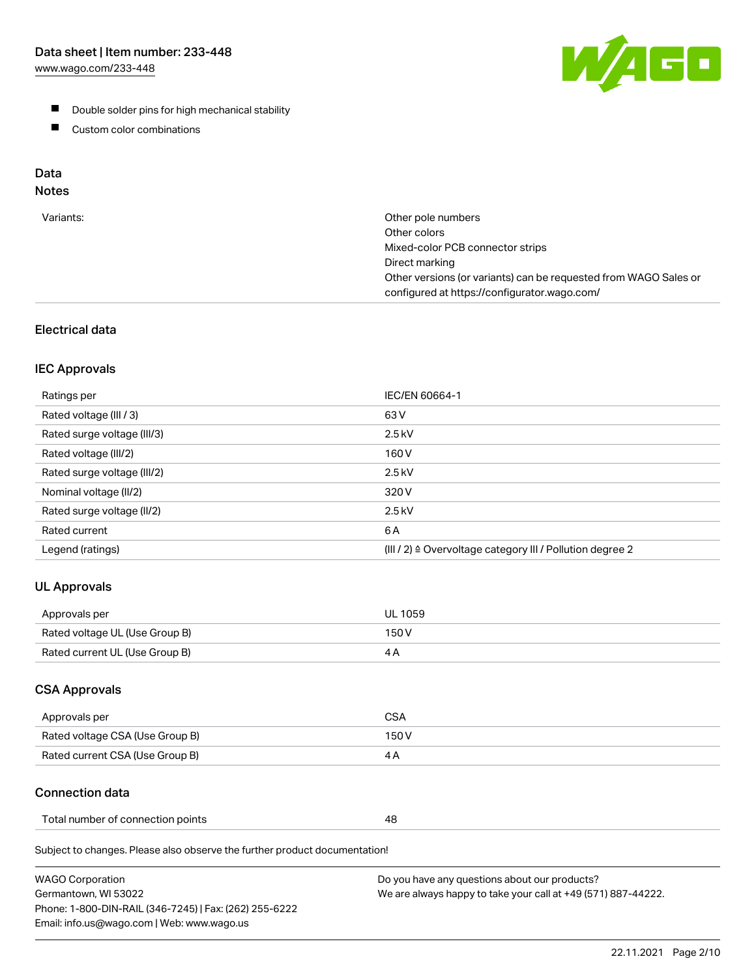[www.wago.com/233-448](http://www.wago.com/233-448)



- **Double solder pins for high mechanical stability**
- **Custom color combinations**

# Data

# Notes

| Variants: | Other pole numbers<br>Other colors<br>Mixed-color PCB connector strips<br>Direct marking<br>Other versions (or variants) can be requested from WAGO Sales or<br>configured at https://configurator.wago.com/ |
|-----------|--------------------------------------------------------------------------------------------------------------------------------------------------------------------------------------------------------------|
|           |                                                                                                                                                                                                              |

# Electrical data

#### IEC Approvals

| Ratings per                 | IEC/EN 60664-1                                                        |
|-----------------------------|-----------------------------------------------------------------------|
| Rated voltage (III / 3)     | 63 V                                                                  |
| Rated surge voltage (III/3) | $2.5$ kV                                                              |
| Rated voltage (III/2)       | 160 V                                                                 |
| Rated surge voltage (III/2) | $2.5$ kV                                                              |
| Nominal voltage (II/2)      | 320 V                                                                 |
| Rated surge voltage (II/2)  | $2.5$ kV                                                              |
| Rated current               | 6 A                                                                   |
| Legend (ratings)            | $(III / 2)$ $\triangle$ Overvoltage category III / Pollution degree 2 |

# UL Approvals

| Approvals per                  | UL 1059 |
|--------------------------------|---------|
| Rated voltage UL (Use Group B) | 150 V   |
| Rated current UL (Use Group B) |         |

## CSA Approvals

| Approvals per                   | CSA   |
|---------------------------------|-------|
| Rated voltage CSA (Use Group B) | 150 V |
| Rated current CSA (Use Group B) |       |

## Connection data

| Total number of connection points |  |
|-----------------------------------|--|
|-----------------------------------|--|

Subject to changes. Please also observe the further product documentation!

| <b>WAGO Corporation</b>                                | Do you have any questions about our products?                 |
|--------------------------------------------------------|---------------------------------------------------------------|
| Germantown, WI 53022                                   | We are always happy to take your call at +49 (571) 887-44222. |
| Phone: 1-800-DIN-RAIL (346-7245)   Fax: (262) 255-6222 |                                                               |
| Email: info.us@wago.com   Web: www.wago.us             |                                                               |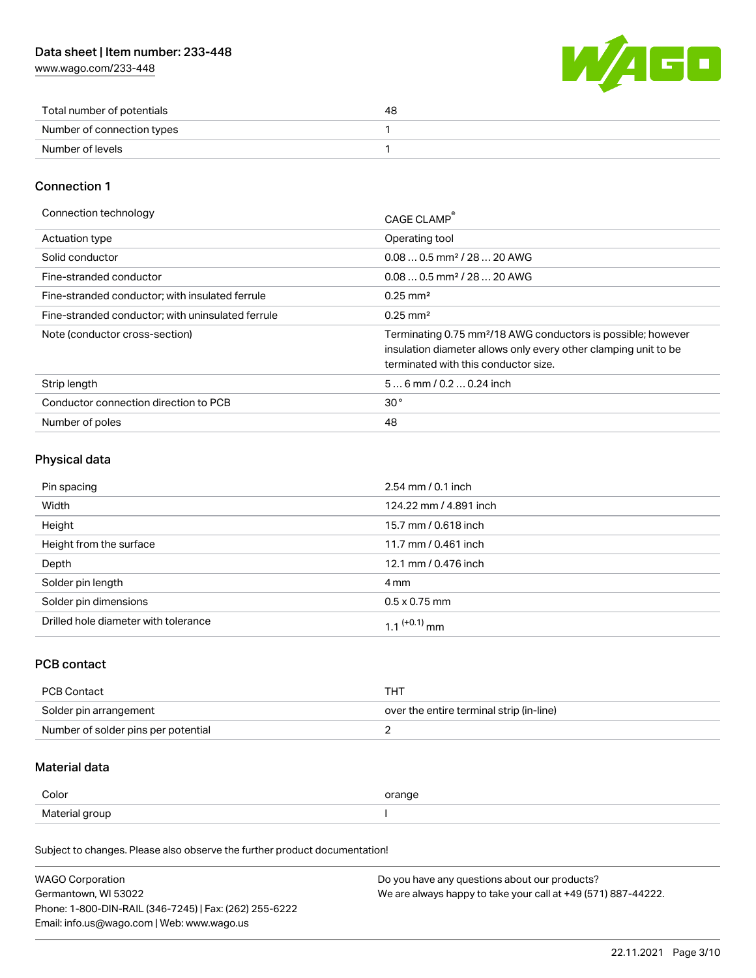[www.wago.com/233-448](http://www.wago.com/233-448)



| Total number of potentials | 48 |
|----------------------------|----|
| Number of connection types |    |
| Number of levels           |    |

#### Connection 1

| Connection technology                             | CAGE CLAMP                                                                                                                                                                          |
|---------------------------------------------------|-------------------------------------------------------------------------------------------------------------------------------------------------------------------------------------|
| <b>Actuation type</b>                             | Operating tool                                                                                                                                                                      |
| Solid conductor                                   | $0.080.5$ mm <sup>2</sup> / 28  20 AWG                                                                                                                                              |
| Fine-stranded conductor                           | $0.080.5$ mm <sup>2</sup> / 28  20 AWG                                                                                                                                              |
| Fine-stranded conductor; with insulated ferrule   | $0.25 \text{ mm}^2$                                                                                                                                                                 |
| Fine-stranded conductor: with uninsulated ferrule | $0.25 \text{ mm}^2$                                                                                                                                                                 |
| Note (conductor cross-section)                    | Terminating 0.75 mm <sup>2</sup> /18 AWG conductors is possible; however<br>insulation diameter allows only every other clamping unit to be<br>terminated with this conductor size. |
| Strip length                                      | $56$ mm $/ 0.20.24$ inch                                                                                                                                                            |
| Conductor connection direction to PCB             | 30 <sup>°</sup>                                                                                                                                                                     |
| Number of poles                                   | 48                                                                                                                                                                                  |

#### Physical data

| Pin spacing                          | $2.54 \, \text{mm}$ / 0.1 inch |
|--------------------------------------|--------------------------------|
| Width                                | 124.22 mm / 4.891 inch         |
| Height                               | 15.7 mm / 0.618 inch           |
| Height from the surface              | 11.7 mm / 0.461 inch           |
| Depth                                | 12.1 mm / 0.476 inch           |
| Solder pin length                    | 4 mm                           |
| Solder pin dimensions                | $0.5 \times 0.75$ mm           |
| Drilled hole diameter with tolerance | 1 1 <sup>(+0.1)</sup> mm       |

## PCB contact

| PCB Contact                         | THT                                      |
|-------------------------------------|------------------------------------------|
| Solder pin arrangement              | over the entire terminal strip (in-line) |
| Number of solder pins per potential |                                          |

## Material data

| Color          | orange |
|----------------|--------|
| Material group |        |

Subject to changes. Please also observe the further product documentation!

| <b>WAGO Corporation</b>                                | Do you have any questions about our products?                 |
|--------------------------------------------------------|---------------------------------------------------------------|
| Germantown, WI 53022                                   | We are always happy to take your call at +49 (571) 887-44222. |
| Phone: 1-800-DIN-RAIL (346-7245)   Fax: (262) 255-6222 |                                                               |
| Email: info.us@wago.com   Web: www.wago.us             |                                                               |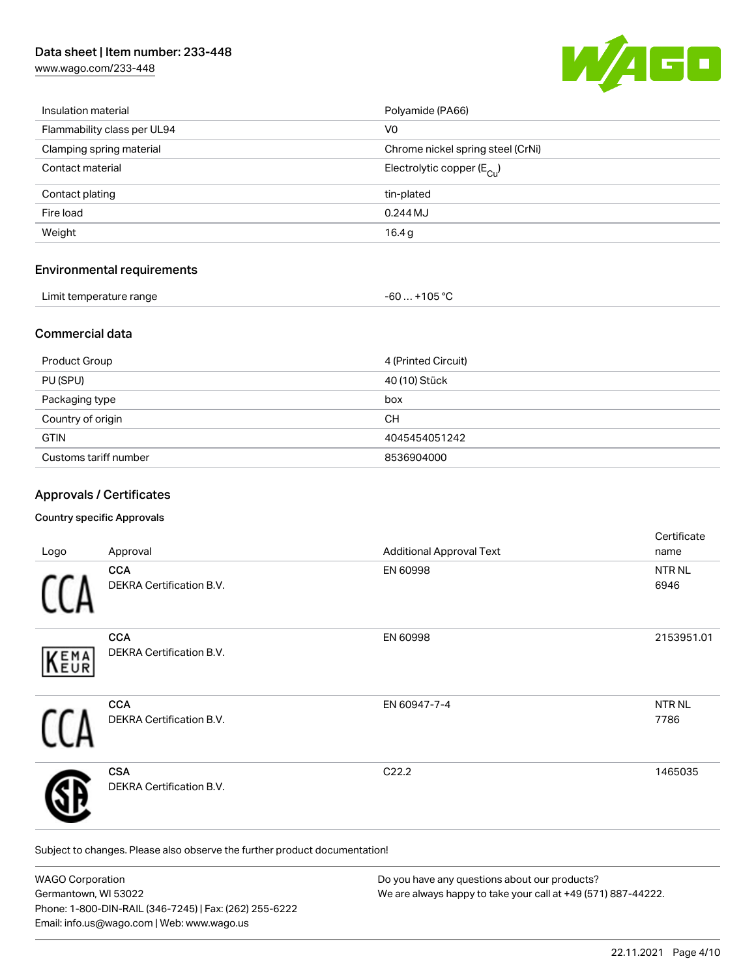[www.wago.com/233-448](http://www.wago.com/233-448)



| Insulation material         | Polyamide (PA66)                        |
|-----------------------------|-----------------------------------------|
| Flammability class per UL94 | V <sub>0</sub>                          |
| Clamping spring material    | Chrome nickel spring steel (CrNi)       |
| Contact material            | Electrolytic copper ( $E_{\text{Cu}}$ ) |
| Contact plating             | tin-plated                              |
| Fire load                   | 0.244MJ                                 |
| Weight                      | 16.4g                                   |
|                             |                                         |

#### Environmental requirements

| Limit temperature range | -60  +105 °C |
|-------------------------|--------------|
|-------------------------|--------------|

#### Commercial data

| Product Group         | 4 (Printed Circuit) |
|-----------------------|---------------------|
| PU (SPU)              | 40 (10) Stück       |
| Packaging type        | box                 |
| Country of origin     | <b>CH</b>           |
| <b>GTIN</b>           | 4045454051242       |
| Customs tariff number | 8536904000          |

### Approvals / Certificates

#### Country specific Approvals

| Logo | Approval                               | <b>Additional Approval Text</b> | Certificate<br>name |
|------|----------------------------------------|---------------------------------|---------------------|
|      | <b>CCA</b><br>DEKRA Certification B.V. | EN 60998                        | NTR NL<br>6946      |
| KEMA | <b>CCA</b><br>DEKRA Certification B.V. | EN 60998                        | 2153951.01          |
|      | <b>CCA</b><br>DEKRA Certification B.V. | EN 60947-7-4                    | NTR NL<br>7786      |
|      | <b>CSA</b><br>DEKRA Certification B.V. | C <sub>22.2</sub>               | 1465035             |

Subject to changes. Please also observe the further product documentation!

| <b>WAGO Corporation</b>                                | Do you have any questions about our products?                 |  |
|--------------------------------------------------------|---------------------------------------------------------------|--|
| Germantown, WI 53022                                   | We are always happy to take your call at +49 (571) 887-44222. |  |
| Phone: 1-800-DIN-RAIL (346-7245)   Fax: (262) 255-6222 |                                                               |  |
| Email: info.us@wago.com   Web: www.wago.us             |                                                               |  |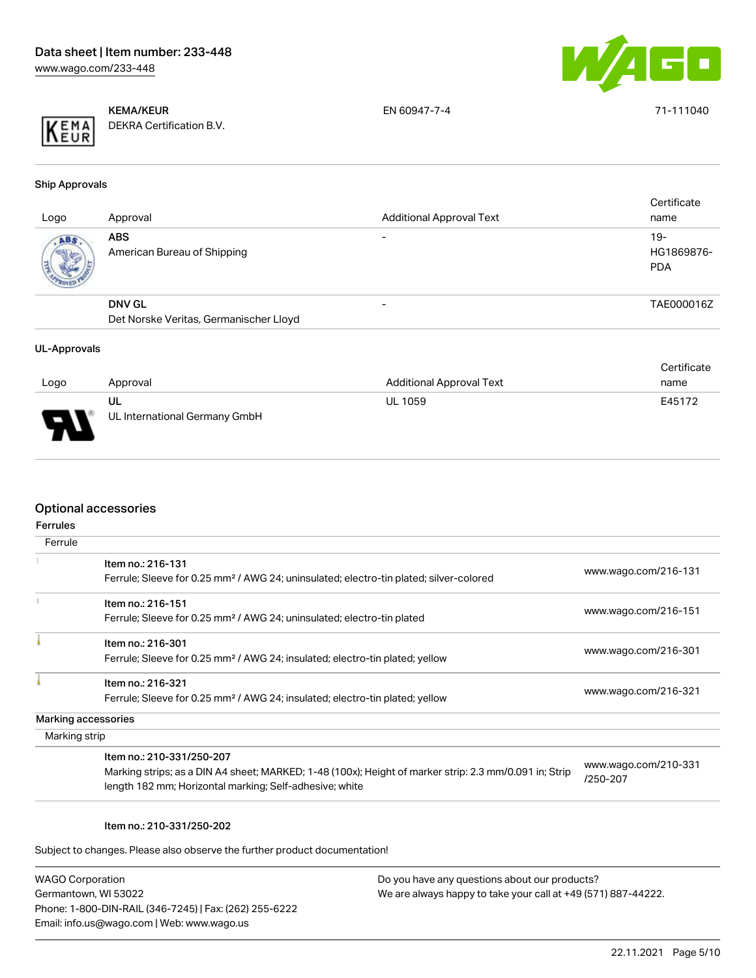

KEMA/KEUR DEKRA Certification B.V. EN 60947-7-4 71-111040

Ship Approvals

| Logo | Approval                                                | <b>Additional Approval Text</b> | Certificate<br>name               |
|------|---------------------------------------------------------|---------------------------------|-----------------------------------|
| ABS. | <b>ABS</b><br>American Bureau of Shipping               | $\overline{\phantom{0}}$        | $19-$<br>HG1869876-<br><b>PDA</b> |
|      | <b>DNV GL</b><br>Det Norske Veritas, Germanischer Lloyd |                                 | TAE000016Z                        |
|      |                                                         |                                 |                                   |

#### UL-Approvals

|        |                               |                                 | Certificate |
|--------|-------------------------------|---------------------------------|-------------|
| Logo   | Approval                      | <b>Additional Approval Text</b> | name        |
|        | UL                            | <b>UL 1059</b>                  | E45172      |
| $\Box$ | UL International Germany GmbH |                                 |             |

#### Optional accessories

| Ferrule             |                                                                                                        |                      |
|---------------------|--------------------------------------------------------------------------------------------------------|----------------------|
|                     | Item no.: 216-131                                                                                      |                      |
|                     | Ferrule; Sleeve for 0.25 mm <sup>2</sup> / AWG 24; uninsulated; electro-tin plated; silver-colored     | www.wago.com/216-131 |
|                     | Item no.: 216-151                                                                                      |                      |
|                     | Ferrule; Sleeve for 0.25 mm <sup>2</sup> / AWG 24; uninsulated; electro-tin plated                     | www.wago.com/216-151 |
|                     | Item no.: 216-301                                                                                      |                      |
|                     | Ferrule; Sleeve for 0.25 mm <sup>2</sup> / AWG 24; insulated; electro-tin plated; yellow               | www.wago.com/216-301 |
|                     | Item no.: 216-321                                                                                      |                      |
|                     | Ferrule; Sleeve for 0.25 mm <sup>2</sup> / AWG 24; insulated; electro-tin plated; yellow               | www.wago.com/216-321 |
| Marking accessories |                                                                                                        |                      |
| Marking strip       |                                                                                                        |                      |
|                     | Item no.: 210-331/250-207                                                                              | www.wago.com/210-331 |
|                     | Marking strips; as a DIN A4 sheet; MARKED; 1-48 (100x); Height of marker strip: 2.3 mm/0.091 in; Strip | /250-207             |
|                     | length 182 mm; Horizontal marking; Self-adhesive; white                                                |                      |

#### Item no.: 210-331/250-202

Subject to changes. Please also observe the further product documentation!

| <b>WAGO Corporation</b>                                |
|--------------------------------------------------------|
| Germantown, WI 53022                                   |
| Phone: 1-800-DIN-RAIL (346-7245)   Fax: (262) 255-6222 |
| Email: info.us@wago.com   Web: www.wago.us             |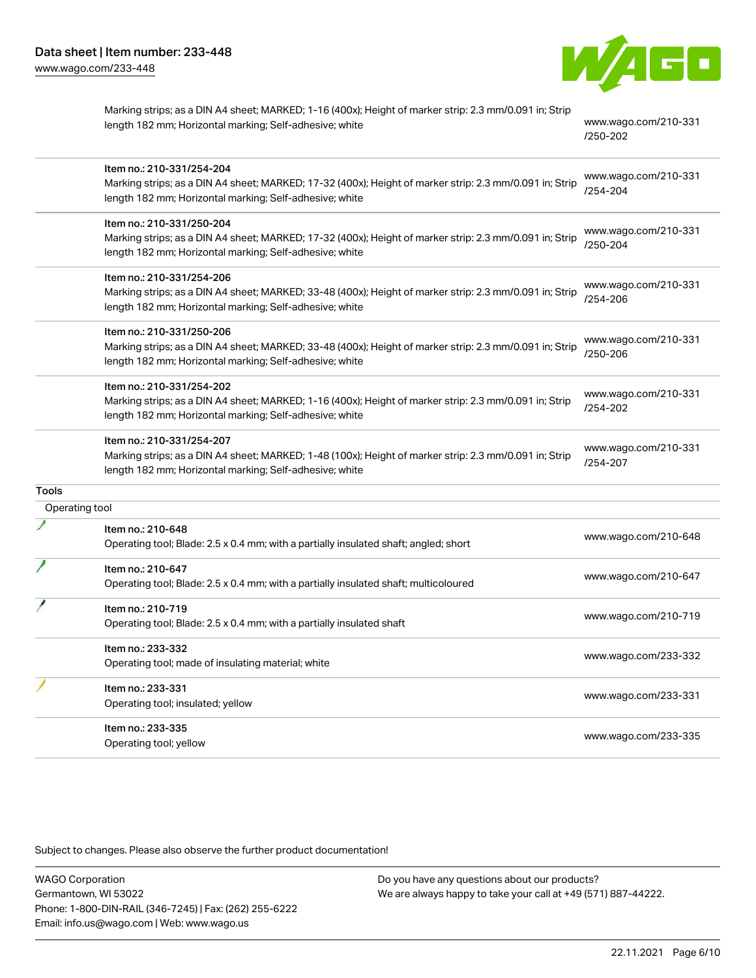

|                | Marking strips; as a DIN A4 sheet; MARKED; 1-16 (400x); Height of marker strip: 2.3 mm/0.091 in; Strip<br>length 182 mm; Horizontal marking; Self-adhesive; white                               | www.wago.com/210-331<br>/250-202 |
|----------------|-------------------------------------------------------------------------------------------------------------------------------------------------------------------------------------------------|----------------------------------|
|                | Item no.: 210-331/254-204<br>Marking strips; as a DIN A4 sheet; MARKED; 17-32 (400x); Height of marker strip: 2.3 mm/0.091 in; Strip<br>length 182 mm; Horizontal marking; Self-adhesive; white | www.wago.com/210-331<br>/254-204 |
|                | Item no.: 210-331/250-204<br>Marking strips; as a DIN A4 sheet; MARKED; 17-32 (400x); Height of marker strip: 2.3 mm/0.091 in; Strip<br>length 182 mm; Horizontal marking; Self-adhesive; white | www.wago.com/210-331<br>/250-204 |
|                | Item no.: 210-331/254-206<br>Marking strips; as a DIN A4 sheet; MARKED; 33-48 (400x); Height of marker strip: 2.3 mm/0.091 in; Strip<br>length 182 mm; Horizontal marking; Self-adhesive; white | www.wago.com/210-331<br>/254-206 |
|                | Item no.: 210-331/250-206<br>Marking strips; as a DIN A4 sheet; MARKED; 33-48 (400x); Height of marker strip: 2.3 mm/0.091 in; Strip<br>length 182 mm; Horizontal marking; Self-adhesive; white | www.wago.com/210-331<br>/250-206 |
|                | Item no.: 210-331/254-202<br>Marking strips; as a DIN A4 sheet; MARKED; 1-16 (400x); Height of marker strip: 2.3 mm/0.091 in; Strip<br>length 182 mm; Horizontal marking; Self-adhesive; white  | www.wago.com/210-331<br>/254-202 |
|                | Item no.: 210-331/254-207<br>Marking strips; as a DIN A4 sheet; MARKED; 1-48 (100x); Height of marker strip: 2.3 mm/0.091 in; Strip<br>length 182 mm; Horizontal marking; Self-adhesive; white  | www.wago.com/210-331<br>/254-207 |
| <b>Tools</b>   |                                                                                                                                                                                                 |                                  |
| Operating tool |                                                                                                                                                                                                 |                                  |
|                | Item no.: 210-648<br>Operating tool; Blade: 2.5 x 0.4 mm; with a partially insulated shaft; angled; short                                                                                       | www.wago.com/210-648             |
|                | Item no.: 210-647<br>Operating tool; Blade: 2.5 x 0.4 mm; with a partially insulated shaft; multicoloured                                                                                       | www.wago.com/210-647             |
|                | Item no.: 210-719<br>Operating tool; Blade: 2.5 x 0.4 mm; with a partially insulated shaft                                                                                                      | www.wago.com/210-719             |
|                | Item no.: 233-332<br>Operating tool; made of insulating material; white                                                                                                                         | www.wago.com/233-332             |
|                | Item no.: 233-331<br>Operating tool; insulated; yellow                                                                                                                                          | www.wago.com/233-331             |
|                | Item no.: 233-335<br>Operating tool; yellow                                                                                                                                                     | www.wago.com/233-335             |

Subject to changes. Please also observe the further product documentation!

WAGO Corporation Germantown, WI 53022 Phone: 1-800-DIN-RAIL (346-7245) | Fax: (262) 255-6222 Email: info.us@wago.com | Web: www.wago.us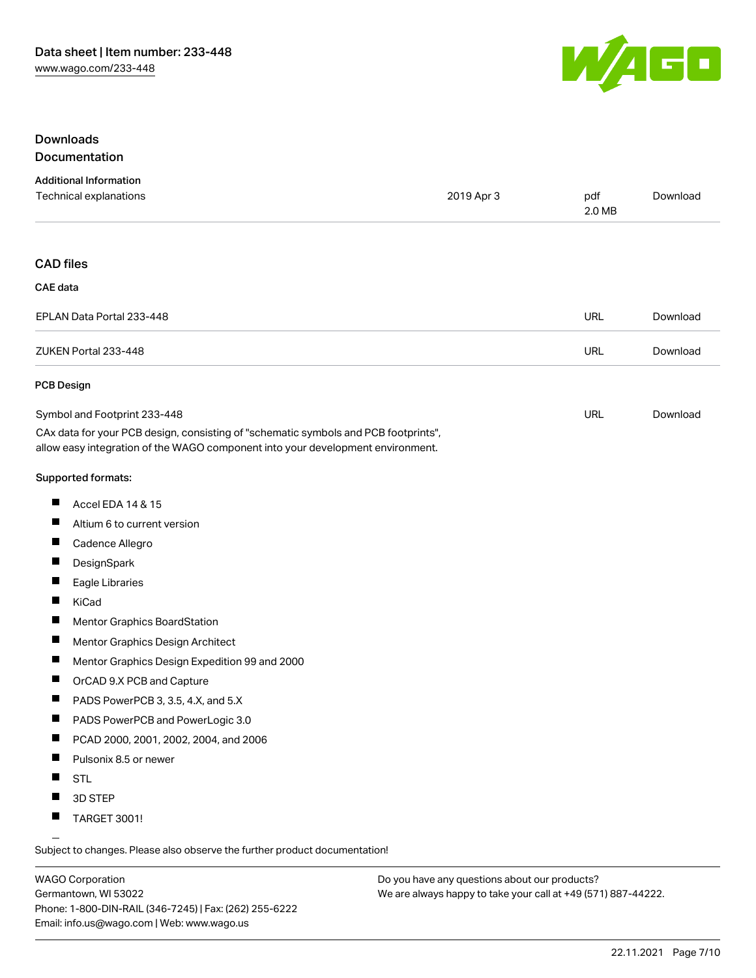

#### Downloads Documentation

| <b>Additional Information</b>           |            |               |          |
|-----------------------------------------|------------|---------------|----------|
| Technical explanations                  | 2019 Apr 3 | pdf<br>2.0 MB | Download |
|                                         |            |               |          |
| $\bigcap$ $\bigcap$ $\bigcap$ $\bigcap$ |            |               |          |

## CAD files CAE data

| vru udu                   |     |          |
|---------------------------|-----|----------|
| EPLAN Data Portal 233-448 | URL | Download |
| ZUKEN Portal 233-448      | URL | Download |

#### PCB Design

| Symbol and Footprint 233-448                                                        | URL | Download |
|-------------------------------------------------------------------------------------|-----|----------|
| CAx data for your PCB design, consisting of "schematic symbols and PCB footprints", |     |          |
| allow easy integration of the WAGO component into your development environment.     |     |          |

#### Supported formats:

- $\blacksquare$ Accel EDA 14 & 15
- $\blacksquare$ Altium 6 to current version
- $\blacksquare$ Cadence Allegro
- $\blacksquare$ **DesignSpark**
- $\blacksquare$ Eagle Libraries
- $\blacksquare$ KiCad
- $\blacksquare$ Mentor Graphics BoardStation
- $\blacksquare$ Mentor Graphics Design Architect
- $\blacksquare$ Mentor Graphics Design Expedition 99 and 2000
- $\blacksquare$ OrCAD 9.X PCB and Capture
- $\blacksquare$ PADS PowerPCB 3, 3.5, 4.X, and 5.X
- $\blacksquare$ PADS PowerPCB and PowerLogic 3.0
- $\blacksquare$ PCAD 2000, 2001, 2002, 2004, and 2006
- $\blacksquare$ Pulsonix 8.5 or newer
- $\blacksquare$ STL
- $\blacksquare$ 3D STEP
- $\blacksquare$ TARGET 3001!

Subject to changes. Please also observe the further product documentation!

WAGO Corporation Germantown, WI 53022 Phone: 1-800-DIN-RAIL (346-7245) | Fax: (262) 255-6222 Email: info.us@wago.com | Web: www.wago.us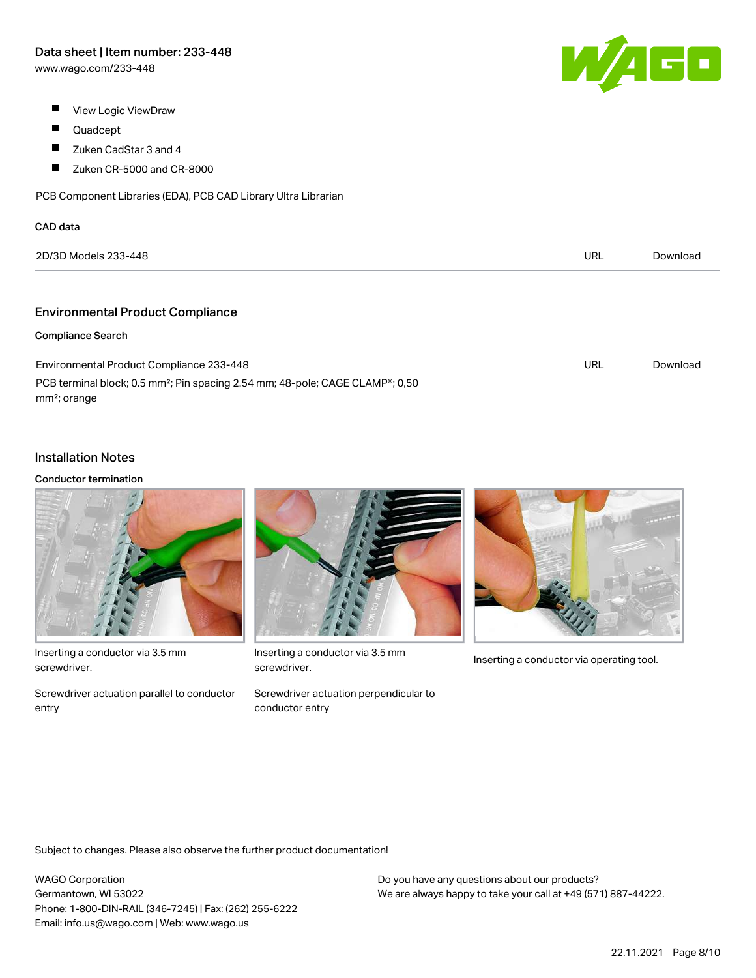[www.wago.com/233-448](http://www.wago.com/233-448)

- $\blacksquare$ View Logic ViewDraw
- $\blacksquare$ Quadcept

 $\overline{\phantom{a}}$ 

- $\blacksquare$ Zuken CadStar 3 and 4
- $\blacksquare$ Zuken CR-5000 and CR-8000

PCB Component Libraries (EDA), PCB CAD Library Ultra Librarian

| CAD data                                                                                                                           |            |          |  |
|------------------------------------------------------------------------------------------------------------------------------------|------------|----------|--|
| 2D/3D Models 233-448                                                                                                               | <b>URL</b> | Download |  |
|                                                                                                                                    |            |          |  |
| <b>Environmental Product Compliance</b>                                                                                            |            |          |  |
| <b>Compliance Search</b>                                                                                                           |            |          |  |
| Environmental Product Compliance 233-448                                                                                           | <b>URL</b> | Download |  |
| PCB terminal block; 0.5 mm <sup>2</sup> ; Pin spacing 2.54 mm; 48-pole; CAGE CLAMP <sup>®</sup> ; 0,50<br>mm <sup>2</sup> ; orange |            |          |  |

## Installation Notes

#### Conductor termination



Inserting a conductor via 3.5 mm screwdriver.

Screwdriver actuation parallel to conductor entry



Inserting a conductor via 3.5 mm<br>Inserting a conductor via operating tool. screwdriver.



Screwdriver actuation perpendicular to conductor entry

Subject to changes. Please also observe the further product documentation!

WAGO Corporation Germantown, WI 53022 Phone: 1-800-DIN-RAIL (346-7245) | Fax: (262) 255-6222 Email: info.us@wago.com | Web: www.wago.us

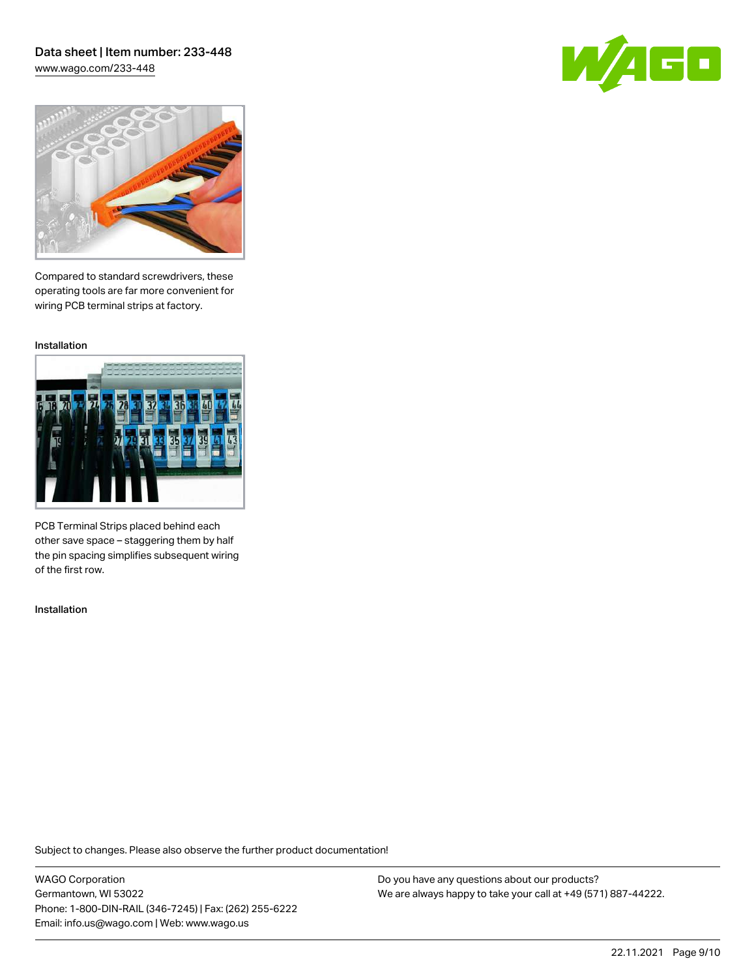[www.wago.com/233-448](http://www.wago.com/233-448)





Compared to standard screwdrivers, these operating tools are far more convenient for wiring PCB terminal strips at factory.

Installation



PCB Terminal Strips placed behind each other save space – staggering them by half the pin spacing simplifies subsequent wiring of the first row.

Installation

Subject to changes. Please also observe the further product documentation!

WAGO Corporation Germantown, WI 53022 Phone: 1-800-DIN-RAIL (346-7245) | Fax: (262) 255-6222 Email: info.us@wago.com | Web: www.wago.us